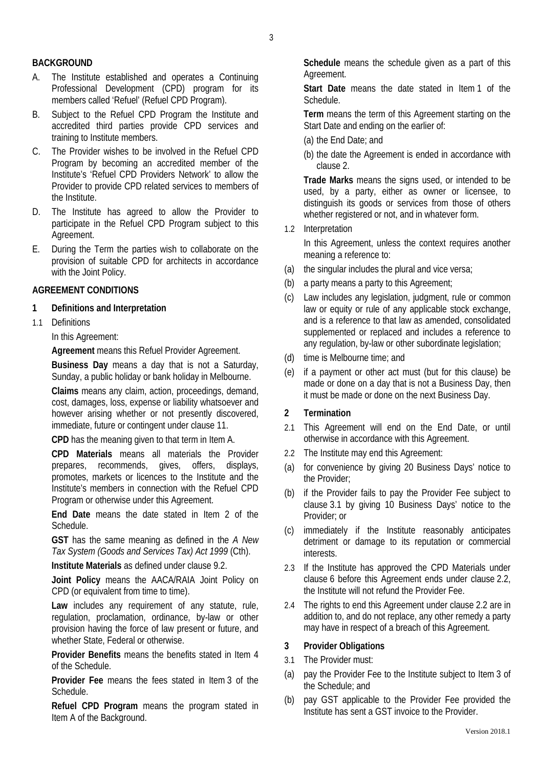## **BACKGROUND**

- A. The Institute established and operates a Continuing Professional Development (CPD) program for its members called 'Refuel' (Refuel CPD Program).
- B. Subject to the Refuel CPD Program the Institute and accredited third parties provide CPD services and training to Institute members.
- C. The Provider wishes to be involved in the Refuel CPD Program by becoming an accredited member of the Institute's 'Refuel CPD Providers Network' to allow the Provider to provide CPD related services to members of the Institute.
- D. The Institute has agreed to allow the Provider to participate in the Refuel CPD Program subject to this Agreement.
- E. During the Term the parties wish to collaborate on the provision of suitable CPD for architects in accordance with the Joint Policy.

#### **AGREEMENT CONDITIONS**

#### **1 Definitions and Interpretation**

1.1 Definitions

In this Agreement:

**Agreement** means this Refuel Provider Agreement.

**Business Day** means a day that is not a Saturday, Sunday, a public holiday or bank holiday in Melbourne.

**Claims** means any claim, action, proceedings, demand, cost, damages, loss, expense or liability whatsoever and however arising whether or not presently discovered, immediate, future or contingent under clause 11.

**CPD** has the meaning given to that term in Item A.

**CPD Materials** means all materials the Provider prepares, recommends, gives, offers, displays, promotes, markets or licences to the Institute and the Institute's members in connection with the Refuel CPD Program or otherwise under this Agreement.

**End Date** means the date stated in Item 2 of the **Schedule** 

**GST** has the same meaning as defined in the *A New Tax System (Goods and Services Tax) Act 1999* (Cth).

**Institute Materials** as defined under clause 9.2.

**Joint Policy** means the AACA/RAIA Joint Policy on CPD (or equivalent from time to time).

**Law** includes any requirement of any statute, rule, regulation, proclamation, ordinance, by-law or other provision having the force of law present or future, and whether State, Federal or otherwise.

**Provider Benefits** means the benefits stated in Item 4 of the Schedule.

**Provider Fee** means the fees stated in Item 3 of the Schedule.

**Refuel CPD Program** means the program stated in Item A of the Background.

**Schedule** means the schedule given as a part of this Agreement.

**Start Date** means the date stated in Item 1 of the Schedule.

**Term** means the term of this Agreement starting on the Start Date and ending on the earlier of:

- (a) the End Date; and
- (b) the date the Agreement is ended in accordance with clause 2.

**Trade Marks** means the signs used, or intended to be used, by a party, either as owner or licensee, to distinguish its goods or services from those of others whether registered or not, and in whatever form.

1.2 Interpretation

In this Agreement, unless the context requires another meaning a reference to:

- (a) the singular includes the plural and vice versa;
- (b) a party means a party to this Agreement;
- (c) Law includes any legislation, judgment, rule or common law or equity or rule of any applicable stock exchange, and is a reference to that law as amended, consolidated supplemented or replaced and includes a reference to any regulation, by-law or other subordinate legislation;
- (d) time is Melbourne time; and
- (e) if a payment or other act must (but for this clause) be made or done on a day that is not a Business Day, then it must be made or done on the next Business Day.

#### **2 Termination**

- 2.1 This Agreement will end on the End Date, or until otherwise in accordance with this Agreement.
- 2.2 The Institute may end this Agreement:
- (a) for convenience by giving 20 Business Days' notice to the Provider;
- (b) if the Provider fails to pay the Provider Fee subject to clause 3.1 by giving 10 Business Days' notice to the Provider; or
- (c) immediately if the Institute reasonably anticipates detriment or damage to its reputation or commercial interests.
- 2.3 If the Institute has approved the CPD Materials under clause 6 before this Agreement ends under clause 2.2, the Institute will not refund the Provider Fee.
- 2.4 The rights to end this Agreement under clause 2.2 are in addition to, and do not replace, any other remedy a party may have in respect of a breach of this Agreement.

#### **3 Provider Obligations**

- 3.1 The Provider must:
- (a) pay the Provider Fee to the Institute subject to Item 3 of the Schedule; and
- (b) pay GST applicable to the Provider Fee provided the Institute has sent a GST invoice to the Provider.